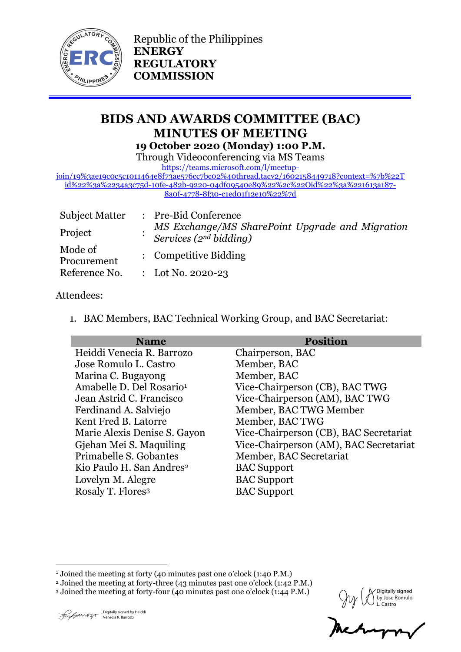

Republic of the Philippines **ENERGY REGULATORY COMMISSION**

# **BIDS AND AWARDS COMMITTEE (BAC) MINUTES OF MEETING 19 October 2020 (Monday) 1:00 P.M.**

Through Videoconferencing via MS Teams

[https://teams.microsoft.com/l/meetup-](https://teams.microsoft.com/l/meetup-join/19%3ae19c0c5c1011464e8f73ae576cc7bc02%40thread.tacv2/1602158449718?context=%7b%22Tid%22%3a%2234a3c75d-10fe-482b-9220-04df09540e89%22%2c%22Oid%22%3a%221613a187-8a0f-4778-8f30-c1ed01f12e10%22%7d)

[join/19%3ae19c0c5c1011464e8f73ae576cc7bc02%40thread.tacv2/1602158449718?context=%7b%22T](https://teams.microsoft.com/l/meetup-join/19%3ae19c0c5c1011464e8f73ae576cc7bc02%40thread.tacv2/1602158449718?context=%7b%22Tid%22%3a%2234a3c75d-10fe-482b-9220-04df09540e89%22%2c%22Oid%22%3a%221613a187-8a0f-4778-8f30-c1ed01f12e10%22%7d) [id%22%3a%2234a3c75d-10fe-482b-9220-04df09540e89%22%2c%22Oid%22%3a%221613a187-](https://teams.microsoft.com/l/meetup-join/19%3ae19c0c5c1011464e8f73ae576cc7bc02%40thread.tacv2/1602158449718?context=%7b%22Tid%22%3a%2234a3c75d-10fe-482b-9220-04df09540e89%22%2c%22Oid%22%3a%221613a187-8a0f-4778-8f30-c1ed01f12e10%22%7d) [8a0f-4778-8f30-c1ed01f12e10%22%7d](https://teams.microsoft.com/l/meetup-join/19%3ae19c0c5c1011464e8f73ae576cc7bc02%40thread.tacv2/1602158449718?context=%7b%22Tid%22%3a%2234a3c75d-10fe-482b-9220-04df09540e89%22%2c%22Oid%22%3a%221613a187-8a0f-4778-8f30-c1ed01f12e10%22%7d)

| <b>Subject Matter</b>  | : Pre-Bid Conference                                                            |
|------------------------|---------------------------------------------------------------------------------|
| Project                | MS Exchange/MS SharePoint Upgrade and Migration<br>Services ( $2^{nd}$ bidding) |
| Mode of<br>Procurement | : Competitive Bidding                                                           |
| Reference No.          | : Lot No. 2020-23                                                               |

#### Attendees:

1. BAC Members, BAC Technical Working Group, and BAC Secretariat:

| <b>Name</b>                          | <b>Position</b>                        |
|--------------------------------------|----------------------------------------|
| Heiddi Venecia R. Barrozo            | Chairperson, BAC                       |
| Jose Romulo L. Castro                | Member, BAC                            |
| Marina C. Bugayong                   | Member, BAC                            |
| Amabelle D. Del Rosario <sup>1</sup> | Vice-Chairperson (CB), BAC TWG         |
| Jean Astrid C. Francisco             | Vice-Chairperson (AM), BAC TWG         |
| Ferdinand A. Salviejo                | Member, BAC TWG Member                 |
| Kent Fred B. Latorre                 | Member, BAC TWG                        |
| Marie Alexis Denise S. Gayon         | Vice-Chairperson (CB), BAC Secretariat |
| Gjehan Mei S. Maquiling              | Vice-Chairperson (AM), BAC Secretariat |
| Primabelle S. Gobantes               | Member, BAC Secretariat                |
| Kio Paulo H. San Andres <sup>2</sup> | <b>BAC</b> Support                     |
| Lovelyn M. Alegre                    | <b>BAC</b> Support                     |
| Rosaly T. Flores <sup>3</sup>        | <b>BAC</b> Support                     |

1 <sup>1</sup> Joined the meeting at forty (40 minutes past one o'clock (1:40 P.M.)

<sup>2</sup> Joined the meeting at forty-three (43 minutes past one o'clock (1:42 P.M.)

∕ Digitally signed<br>| by Jose Romulo by Jose Romulo L. Castro

<sup>3</sup> Joined the meeting at forty-four (40 minutes past one o'clock (1:44 P.M.)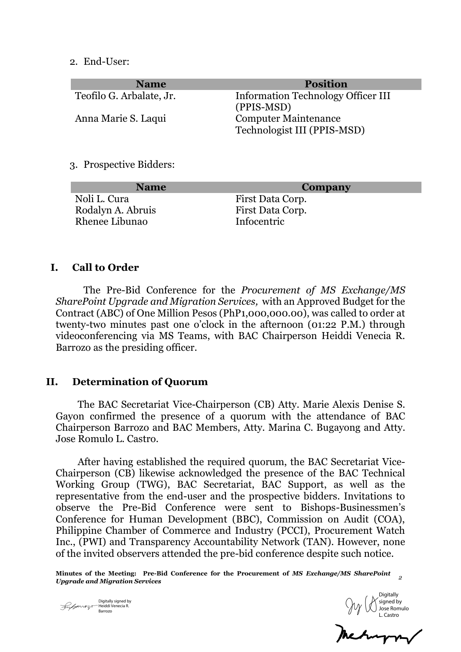2. End-User:

| <b>Name</b>              | <b>Position</b>                           |
|--------------------------|-------------------------------------------|
| Teofilo G. Arbalate, Jr. | <b>Information Technology Officer III</b> |
|                          | (PPIS-MSD)                                |
| Anna Marie S. Laqui      | <b>Computer Maintenance</b>               |
|                          | Technologist III (PPIS-MSD)               |

3. Prospective Bidders:

| <b>Name</b>       | Company          |
|-------------------|------------------|
| Noli L. Cura      | First Data Corp. |
| Rodalyn A. Abruis | First Data Corp. |
| Rhenee Libunao    | Infocentric      |
|                   |                  |

#### **I. Call to Order**

The Pre-Bid Conference for the *Procurement of MS Exchange/MS SharePoint Upgrade and Migration Services,* with an Approved Budget for the Contract (ABC) of One Million Pesos (PhP1,000,000.00), was called to order at twenty-two minutes past one o'clock in the afternoon (01:22 P.M.) through videoconferencing via MS Teams, with BAC Chairperson Heiddi Venecia R. Barrozo as the presiding officer.

#### **II. Determination of Quorum**

The BAC Secretariat Vice-Chairperson (CB) Atty. Marie Alexis Denise S. Gayon confirmed the presence of a quorum with the attendance of BAC Chairperson Barrozo and BAC Members, Atty. Marina C. Bugayong and Atty. Jose Romulo L. Castro.

After having established the required quorum, the BAC Secretariat Vice-Chairperson (CB) likewise acknowledged the presence of the BAC Technical Working Group (TWG), BAC Secretariat, BAC Support, as well as the representative from the end-user and the prospective bidders. Invitations to observe the Pre-Bid Conference were sent to Bishops-Businessmen's Conference for Human Development (BBC), Commission on Audit (COA), Philippine Chamber of Commerce and Industry (PCCI), Procurement Watch Inc., (PWI) and Transparency Accountability Network (TAN). However, none of the invited observers attended the pre-bid conference despite such notice.

**Minutes of the Meeting: Pre-Bid Conference for the Procurement of** *MS Exchange/MS SharePoint Upgrade and Migration Services <sup>2</sup>*

Digitally signed by Heiddi Venecia R. Julanos-Barrozo

**Digitally** signed by Jose Romulo L. Castro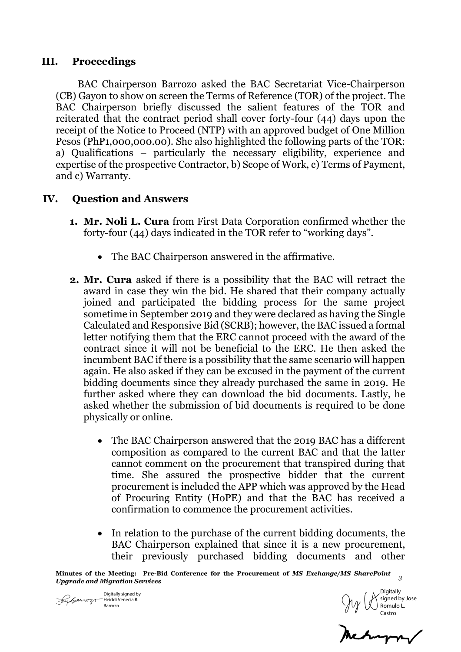### **III. Proceedings**

BAC Chairperson Barrozo asked the BAC Secretariat Vice-Chairperson (CB) Gayon to show on screen the Terms of Reference (TOR) of the project. The BAC Chairperson briefly discussed the salient features of the TOR and reiterated that the contract period shall cover forty-four (44) days upon the receipt of the Notice to Proceed (NTP) with an approved budget of One Million Pesos (PhP1,000,000.00). She also highlighted the following parts of the TOR: a) Qualifications – particularly the necessary eligibility, experience and expertise of the prospective Contractor, b) Scope of Work, c) Terms of Payment, and c) Warranty.

# **IV. Question and Answers**

- **1. Mr. Noli L. Cura** from First Data Corporation confirmed whether the forty-four (44) days indicated in the TOR refer to "working days".
	- The BAC Chairperson answered in the affirmative.
- **2. Mr. Cura** asked if there is a possibility that the BAC will retract the award in case they win the bid. He shared that their company actually joined and participated the bidding process for the same project sometime in September 2019 and they were declared as having the Single Calculated and Responsive Bid (SCRB); however, the BAC issued a formal letter notifying them that the ERC cannot proceed with the award of the contract since it will not be beneficial to the ERC. He then asked the incumbent BAC if there is a possibility that the same scenario will happen again. He also asked if they can be excused in the payment of the current bidding documents since they already purchased the same in 2019. He further asked where they can download the bid documents. Lastly, he asked whether the submission of bid documents is required to be done physically or online.
	- The BAC Chairperson answered that the 2019 BAC has a different composition as compared to the current BAC and that the latter cannot comment on the procurement that transpired during that time. She assured the prospective bidder that the current procurement is included the APP which was approved by the Head of Procuring Entity (HoPE) and that the BAC has received a confirmation to commence the procurement activities.
	- In relation to the purchase of the current bidding documents, the BAC Chairperson explained that since it is a new procurement, their previously purchased bidding documents and other

**Minutes of the Meeting: Pre-Bid Conference for the Procurement of** *MS Exchange/MS SharePoint Upgrade and Migration Services 3 Jupprade and Migration Services 3 3* 

Digitally signed by  $\sqrt{\frac{1}{2}}$  Heiddi Venecia R. Barrozo

**Digitally** signed by Jose Romulo L. Castro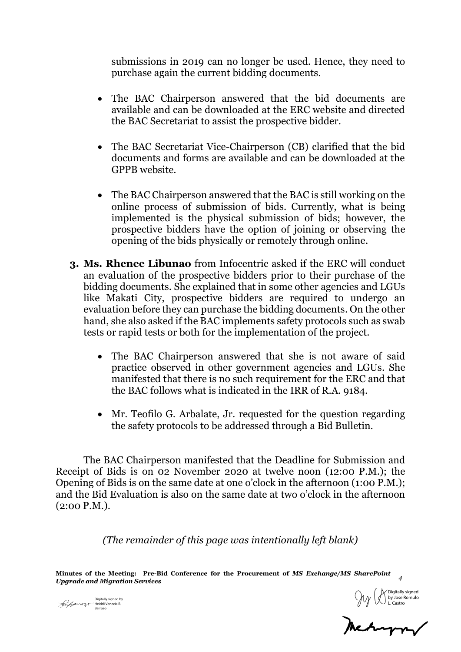submissions in 2019 can no longer be used. Hence, they need to purchase again the current bidding documents.

- The BAC Chairperson answered that the bid documents are available and can be downloaded at the ERC website and directed the BAC Secretariat to assist the prospective bidder.
- The BAC Secretariat Vice-Chairperson (CB) clarified that the bid documents and forms are available and can be downloaded at the GPPB website.
- The BAC Chairperson answered that the BAC is still working on the online process of submission of bids. Currently, what is being implemented is the physical submission of bids; however, the prospective bidders have the option of joining or observing the opening of the bids physically or remotely through online.
- **3. Ms. Rhenee Libunao** from Infocentric asked if the ERC will conduct an evaluation of the prospective bidders prior to their purchase of the bidding documents. She explained that in some other agencies and LGUs like Makati City, prospective bidders are required to undergo an evaluation before they can purchase the bidding documents. On the other hand, she also asked if the BAC implements safety protocols such as swab tests or rapid tests or both for the implementation of the project.
	- The BAC Chairperson answered that she is not aware of said practice observed in other government agencies and LGUs. She manifested that there is no such requirement for the ERC and that the BAC follows what is indicated in the IRR of R.A. 9184.
	- Mr. Teofilo G. Arbalate, Jr. requested for the question regarding the safety protocols to be addressed through a Bid Bulletin.

The BAC Chairperson manifested that the Deadline for Submission and Receipt of Bids is on 02 November 2020 at twelve noon (12:00 P.M.); the Opening of Bids is on the same date at one o'clock in the afternoon (1:00 P.M.); and the Bid Evaluation is also on the same date at two o'clock in the afternoon (2:00 P.M.).

*(The remainder of this page was intentionally left blank)*

**Minutes of the Meeting: Pre-Bid Conference for the Procurement of** *MS Exchange/MS SharePoint Upgrade and Migration Services <sup>4</sup>*

Heiddi Venecia R. Barrozo

Digitally signed by  $\bigcirc_{\text{L. Castro}}$  Digitally signed by  $\bigcirc_{\text{L. Castro}}$